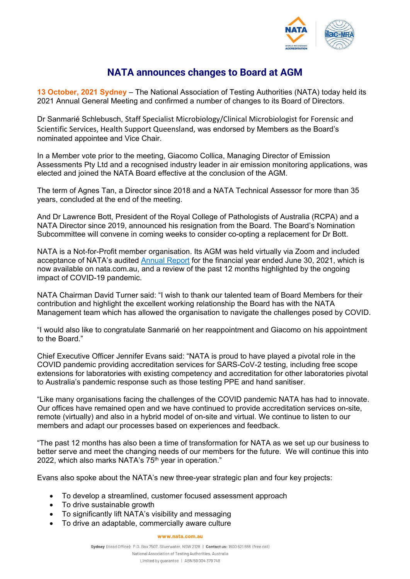

## **NATA announces changes to Board at AGM**

**13 October, 2021 Sydney** – The National Association of Testing Authorities (NATA) today held its 2021 Annual General Meeting and confirmed a number of changes to its Board of Directors.

Dr Sanmarié Schlebusch, Staff Specialist Microbiology/Clinical Microbiologist for Forensic and Scientific Services, Health Support Queensland, was endorsed by Members as the Board's nominated appointee and Vice Chair.

In a Member vote prior to the meeting, Giacomo Collica, Managing Director of Emission Assessments Pty Ltd and a recognised industry leader in air emission monitoring applications, was elected and joined the NATA Board effective at the conclusion of the AGM.

The term of Agnes Tan, a Director since 2018 and a NATA Technical Assessor for more than 35 years, concluded at the end of the meeting.

And Dr Lawrence Bott, President of the Royal College of Pathologists of Australia (RCPA) and a NATA Director since 2019, announced his resignation from the Board. The Board's Nomination Subcommittee will convene in coming weeks to consider co-opting a replacement for Dr Bott.

NATA is a Not-for-Profit member organisation. Its AGM was held virtually via Zoom and included acceptance of NATA's audited [Annual Report](https://nata.com.au/about-us/governance/annual-reports/) for the financial year ended June 30, 2021, which is now available on nata.com.au, and a review of the past 12 months highlighted by the ongoing impact of COVID-19 pandemic.

NATA Chairman David Turner said: "I wish to thank our talented team of Board Members for their contribution and highlight the excellent working relationship the Board has with the NATA Management team which has allowed the organisation to navigate the challenges posed by COVID.

"I would also like to congratulate Sanmarié on her reappointment and Giacomo on his appointment to the Board."

Chief Executive Officer Jennifer Evans said: "NATA is proud to have played a pivotal role in the COVID pandemic providing accreditation services for SARS-CoV-2 testing, including free scope extensions for laboratories with existing competency and accreditation for other laboratories pivotal to Australia's pandemic response such as those testing PPE and hand sanitiser.

"Like many organisations facing the challenges of the COVID pandemic NATA has had to innovate. Our offices have remained open and we have continued to provide accreditation services on-site, remote (virtually) and also in a hybrid model of on-site and virtual. We continue to listen to our members and adapt our processes based on experiences and feedback.

"The past 12 months has also been a time of transformation for NATA as we set up our business to better serve and meet the changing needs of our members for the future. We will continue this into 2022, which also marks NATA's 75<sup>th</sup> year in operation."

Evans also spoke about the NATA's new three-year strategic plan and four key projects:

- To develop a streamlined, customer focused assessment approach
- To drive sustainable growth
- To significantly lift NATA's visibility and messaging
- To drive an adaptable, commercially aware culture

www.nata.com.au